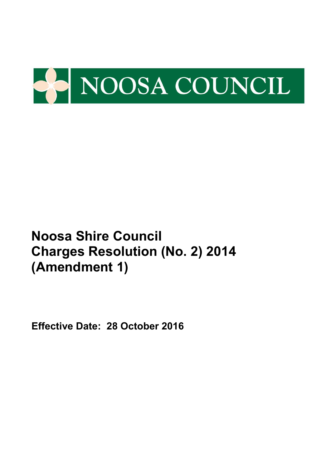

**Effective Date: 28 October 2016**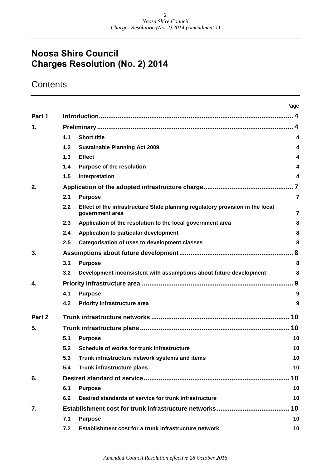## **Noosa Shire Council Charges Resolution (No. 2) 2014**

## **Contents**

|        |       |                                                                                                  | Page                   |  |  |  |  |
|--------|-------|--------------------------------------------------------------------------------------------------|------------------------|--|--|--|--|
| Part 1 |       |                                                                                                  |                        |  |  |  |  |
| 1.     |       |                                                                                                  | $\boldsymbol{\Lambda}$ |  |  |  |  |
|        | 1.1   | <b>Short title</b>                                                                               | 4                      |  |  |  |  |
|        | $1.2$ | <b>Sustainable Planning Act 2009</b>                                                             | 4                      |  |  |  |  |
|        | 1.3   | <b>Effect</b>                                                                                    | 4                      |  |  |  |  |
|        | 1.4   | <b>Purpose of the resolution</b>                                                                 | 4                      |  |  |  |  |
|        | 1.5   | Interpretation                                                                                   | 4                      |  |  |  |  |
| 2.     |       |                                                                                                  |                        |  |  |  |  |
|        | 2.1   | <b>Purpose</b>                                                                                   | $\overline{7}$         |  |  |  |  |
|        | 2.2   | Effect of the infrastructure State planning regulatory provision in the local<br>government area | $\overline{7}$         |  |  |  |  |
|        | 2.3   | Application of the resolution to the local government area                                       | 8                      |  |  |  |  |
|        | 2.4   | Application to particular development                                                            | 8                      |  |  |  |  |
|        | 2.5   | <b>Categorisation of uses to development classes</b>                                             | 8                      |  |  |  |  |
| 3.     |       |                                                                                                  |                        |  |  |  |  |
|        | 3.1   | <b>Purpose</b>                                                                                   | 8                      |  |  |  |  |
|        | 3.2   | Development inconsistent with assumptions about future development                               | 8                      |  |  |  |  |
| 4.     |       |                                                                                                  |                        |  |  |  |  |
|        | 4.1   | <b>Purpose</b>                                                                                   | 9                      |  |  |  |  |
|        | 4.2   | <b>Priority infrastructure area</b>                                                              | 9                      |  |  |  |  |
| Part 2 |       |                                                                                                  | 10                     |  |  |  |  |
| 5.     |       |                                                                                                  | 10                     |  |  |  |  |
|        | 5.1   | <b>Purpose</b>                                                                                   | 10                     |  |  |  |  |
|        | 5.2   | Schedule of works for trunk infrastructure                                                       | 10                     |  |  |  |  |
|        | 5.3   | Trunk infrastructure network systems and items                                                   | 10                     |  |  |  |  |
|        | 5.4   | Trunk infrastructure plans                                                                       | 10                     |  |  |  |  |
| 6.     |       |                                                                                                  | 10                     |  |  |  |  |
|        | 6.1   | <b>Purpose</b>                                                                                   | 10                     |  |  |  |  |
|        | 6.2   | Desired standards of service for trunk infrastructure                                            | 10                     |  |  |  |  |
| 7.     |       |                                                                                                  | 10                     |  |  |  |  |
|        | 7.1   | <b>Purpose</b>                                                                                   | 10                     |  |  |  |  |
|        | 7.2   | Establishment cost for a trunk infrastructure network                                            | 10                     |  |  |  |  |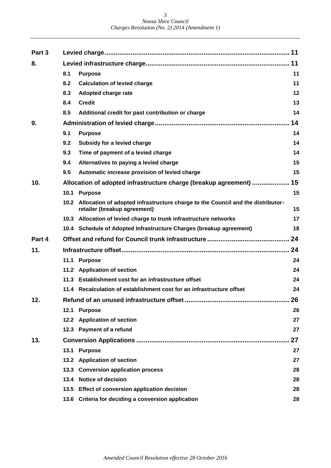| Part 3 |      |                                                                                                                      | 11 |  |  |  |  |
|--------|------|----------------------------------------------------------------------------------------------------------------------|----|--|--|--|--|
| 8.     |      |                                                                                                                      | 11 |  |  |  |  |
|        | 8.1  | <b>Purpose</b>                                                                                                       | 11 |  |  |  |  |
|        | 8.2  | <b>Calculation of levied charge</b>                                                                                  | 11 |  |  |  |  |
|        | 8.3  | <b>Adopted charge rate</b>                                                                                           | 12 |  |  |  |  |
|        | 8.4  | <b>Credit</b>                                                                                                        | 13 |  |  |  |  |
|        | 8.5  | Additional credit for past contribution or charge                                                                    | 14 |  |  |  |  |
| 9.     |      |                                                                                                                      | 14 |  |  |  |  |
|        | 9.1  | <b>Purpose</b>                                                                                                       | 14 |  |  |  |  |
|        | 9.2  | Subsidy for a levied charge                                                                                          | 14 |  |  |  |  |
|        | 9.3  | Time of payment of a levied charge                                                                                   | 14 |  |  |  |  |
|        | 9.4  | Alternatives to paying a levied charge                                                                               | 15 |  |  |  |  |
|        | 9.5  | Automatic increase provision of levied charge                                                                        | 15 |  |  |  |  |
| 10.    |      | Allocation of adopted infrastructure charge (breakup agreement)                                                      | 15 |  |  |  |  |
|        |      | 10.1 Purpose                                                                                                         | 15 |  |  |  |  |
|        |      | 10.2 Allocation of adopted infrastructure charge to the Council and the distributor-<br>retailer (breakup agreement) | 15 |  |  |  |  |
|        |      | 10.3 Allocation of levied charge to trunk infrastructure networks                                                    | 17 |  |  |  |  |
|        |      | 10.4 Schedule of Adopted Infrastructure Charges (breakup agreement)                                                  | 18 |  |  |  |  |
| Part 4 |      |                                                                                                                      | 24 |  |  |  |  |
| 11.    | 24   |                                                                                                                      |    |  |  |  |  |
|        | 11.1 | <b>Purpose</b>                                                                                                       | 24 |  |  |  |  |
|        |      | 11.2 Application of section                                                                                          | 24 |  |  |  |  |
|        |      | 11.3 Establishment cost for an infrastructure offset                                                                 | 24 |  |  |  |  |
|        |      | 11.4 Recalculation of establishment cost for an infrastructure offset                                                | 24 |  |  |  |  |
| 12.    |      |                                                                                                                      | 26 |  |  |  |  |
|        |      | 12.1 Purpose                                                                                                         | 26 |  |  |  |  |
|        |      | 12.2 Application of section                                                                                          | 27 |  |  |  |  |
|        |      | 12.3 Payment of a refund                                                                                             | 27 |  |  |  |  |
| 13.    |      |                                                                                                                      | 27 |  |  |  |  |
|        | 13.1 | <b>Purpose</b>                                                                                                       | 27 |  |  |  |  |
|        |      | 13.2 Application of section                                                                                          | 27 |  |  |  |  |
|        |      | 13.3 Conversion application process                                                                                  | 28 |  |  |  |  |
|        |      | 13.4 Notice of decision                                                                                              | 28 |  |  |  |  |
|        |      | 13.5 Effect of conversion application decision                                                                       | 28 |  |  |  |  |
|        |      | 13.6 Criteria for deciding a conversion application                                                                  | 28 |  |  |  |  |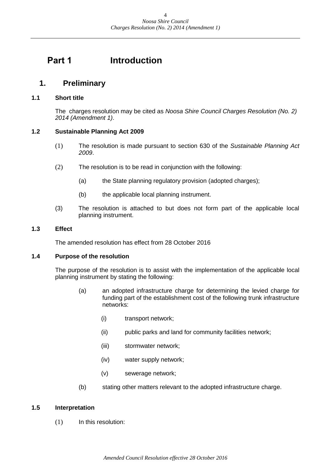## <span id="page-3-0"></span>**Part 1 Introduction**

## <span id="page-3-1"></span>**1. Preliminary**

#### <span id="page-3-2"></span>**1.1 Short title**

The charges resolution may be cited as *Noosa Shire Council Charges Resolution (No. 2) 2014 (Amendment 1)*.

#### <span id="page-3-3"></span>**1.2 Sustainable Planning Act 2009**

- (1) The resolution is made pursuant to section 630 of the *Sustainable Planning Act 2009*.
- (2) The resolution is to be read in conjunction with the following:
	- (a) the State planning regulatory provision (adopted charges);
	- (b) the applicable local planning instrument.
- (3) The resolution is attached to but does not form part of the applicable local planning instrument.

#### <span id="page-3-4"></span>**1.3 Effect**

The amended resolution has effect from 28 October 2016

#### <span id="page-3-5"></span>**1.4 Purpose of the resolution**

The purpose of the resolution is to assist with the implementation of the applicable local planning instrument by stating the following:

- (a) an adopted infrastructure charge for determining the levied charge for funding part of the establishment cost of the following trunk infrastructure networks:
	- (i) transport network;
	- (ii) public parks and land for community facilities network;
	- (iii) stormwater network;
	- (iv) water supply network;
	- (v) sewerage network;
- (b) stating other matters relevant to the adopted infrastructure charge.

#### <span id="page-3-6"></span>**1.5 Interpretation**

(1) In this resolution: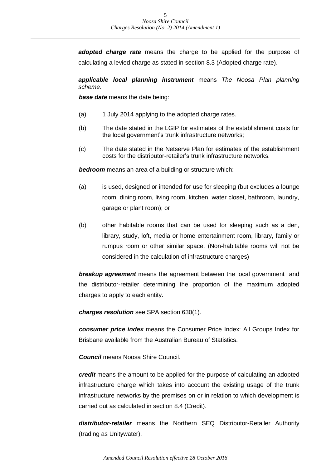*adopted charge rate* means the charge to be applied for the purpose of calculating a levied charge as stated in section 8.3 (Adopted charge rate).

*applicable local planning instrument* means *The Noosa Plan planning scheme*.

*base date* means the date being:

- (a) 1 July 2014 applying to the adopted charge rates.
- (b) The date stated in the LGIP for estimates of the establishment costs for the local government's trunk infrastructure networks;
- (c) The date stated in the Netserve Plan for estimates of the establishment costs for the distributor-retailer's trunk infrastructure networks.

*bedroom* means an area of a building or structure which:

- (a) is used, designed or intended for use for sleeping (but excludes a lounge room, dining room, living room, kitchen, water closet, bathroom, laundry, garage or plant room); or
- (b) other habitable rooms that can be used for sleeping such as a den, library, study, loft, media or home entertainment room, library, family or rumpus room or other similar space. (Non-habitable rooms will not be considered in the calculation of infrastructure charges)

*breakup agreement* means the agreement between the local government and the distributor-retailer determining the proportion of the maximum adopted charges to apply to each entity.

*charges resolution* see SPA section 630(1).

*consumer price index* means the Consumer Price Index: All Groups Index for Brisbane available from the Australian Bureau of Statistics.

*Council* means Noosa Shire Council.

*credit* means the amount to be applied for the purpose of calculating an adopted infrastructure charge which takes into account the existing usage of the trunk infrastructure networks by the premises on or in relation to which development is carried out as calculated in section 8.4 (Credit).

*distributor-retailer* means the Northern SEQ Distributor-Retailer Authority (trading as Unitywater).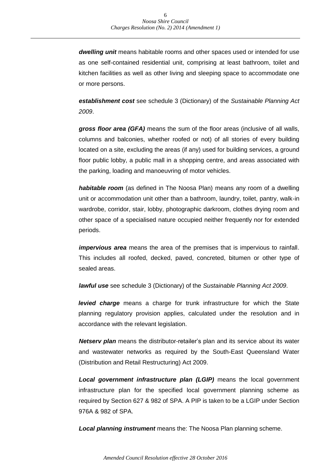*dwelling unit* means habitable rooms and other spaces used or intended for use as one self-contained residential unit, comprising at least bathroom, toilet and kitchen facilities as well as other living and sleeping space to accommodate one or more persons.

*establishment cost* see schedule 3 (Dictionary) of the *Sustainable Planning Act 2009*.

*gross floor area (GFA)* means the sum of the floor areas (inclusive of all walls, columns and balconies, whether roofed or not) of all stories of every building located on a site, excluding the areas (if any) used for building services, a ground floor public lobby, a public mall in a shopping centre, and areas associated with the parking, loading and manoeuvring of motor vehicles.

*habitable room* (as defined in The Noosa Plan) means any room of a dwelling unit or accommodation unit other than a bathroom, laundry, toilet, pantry, walk-in wardrobe, corridor, stair, lobby, photographic darkroom, clothes drying room and other space of a specialised nature occupied neither frequently nor for extended periods.

*impervious area* means the area of the premises that is impervious to rainfall. This includes all roofed, decked, paved, concreted, bitumen or other type of sealed areas.

*lawful use* see schedule 3 (Dictionary) of the *Sustainable Planning Act 2009*.

*levied charge* means a charge for trunk infrastructure for which the State planning regulatory provision applies, calculated under the resolution and in accordance with the relevant legislation.

*Netserv plan* means the distributor-retailer's plan and its service about its water and wastewater networks as required by the South-East Queensland Water (Distribution and Retail Restructuring) Act 2009.

*Local government infrastructure plan (LGIP)* means the local government infrastructure plan for the specified local government planning scheme as required by Section 627 & 982 of SPA. A PIP is taken to be a LGIP under Section 976A & 982 of SPA.

*Local planning instrument* means the: The Noosa Plan planning scheme.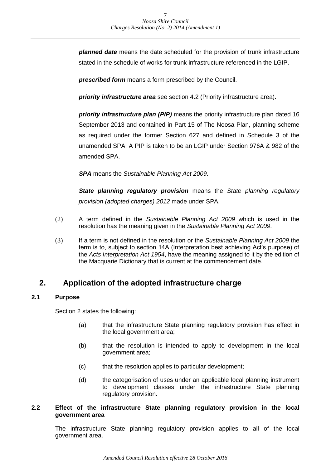*planned date* means the date scheduled for the provision of trunk infrastructure stated in the schedule of works for trunk infrastructure referenced in the LGIP.

*prescribed form* means a form prescribed by the Council.

*priority infrastructure area* see section 4.2 (Priority infrastructure area).

*priority infrastructure plan (PIP)* means the priority infrastructure plan dated 16 September 2013 and contained in Part 15 of The Noosa Plan, planning scheme as required under the former Section 627 and defined in Schedule 3 of the unamended SPA. A PIP is taken to be an LGIP under Section 976A & 982 of the amended SPA.

*SPA* means the *Sustainable Planning Act 2009*.

*State planning regulatory provision* means the *State planning regulatory provision (adopted charges) 2012* made under SPA.

- (2) A term defined in the *Sustainable Planning Act 2009* which is used in the resolution has the meaning given in the *Sustainable Planning Act 2009*.
- (3) If a term is not defined in the resolution or the *Sustainable Planning Act 2009* the term is to, subject to section 14A (Interpretation best achieving Act's purpose) of the *Acts Interpretation Act 1954*, have the meaning assigned to it by the edition of the Macquarie Dictionary that is current at the commencement date.

## <span id="page-6-0"></span>**2. Application of the adopted infrastructure charge**

#### <span id="page-6-1"></span>**2.1 Purpose**

Section 2 states the following:

- (a) that the infrastructure State planning regulatory provision has effect in the local government area;
- (b) that the resolution is intended to apply to development in the local government area;
- (c) that the resolution applies to particular development;
- (d) the categorisation of uses under an applicable local planning instrument to development classes under the infrastructure State planning regulatory provision.

#### <span id="page-6-2"></span>**2.2 Effect of the infrastructure State planning regulatory provision in the local government area**

The infrastructure State planning regulatory provision applies to all of the local government area.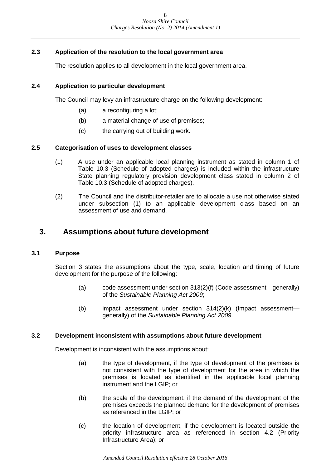#### <span id="page-7-0"></span>**2.3 Application of the resolution to the local government area**

The resolution applies to all development in the local government area.

#### <span id="page-7-1"></span>**2.4 Application to particular development**

The Council may levy an infrastructure charge on the following development:

- (a) a reconfiguring a lot;
- (b) a material change of use of premises;
- (c) the carrying out of building work.

#### <span id="page-7-2"></span>**2.5 Categorisation of uses to development classes**

- (1) A use under an applicable local planning instrument as stated in column 1 of Table 10.3 (Schedule of adopted charges) is included within the infrastructure State planning regulatory provision development class stated in column 2 of Table 10.3 (Schedule of adopted charges).
- (2) The Council and the distributor-retailer are to allocate a use not otherwise stated under subsection (1) to an applicable development class based on an assessment of use and demand.

### <span id="page-7-3"></span>**3. Assumptions about future development**

#### <span id="page-7-4"></span>**3.1 Purpose**

Section 3 states the assumptions about the type, scale, location and timing of future development for the purpose of the following:

- (a) code assessment under section 313(2)(f) (Code assessment—generally) of the *Sustainable Planning Act 2009*;
- (b) impact assessment under section 314(2)(k) (Impact assessment generally) of the *Sustainable Planning Act 2009*.

#### <span id="page-7-5"></span>**3.2 Development inconsistent with assumptions about future development**

Development is inconsistent with the assumptions about:

- (a) the type of development, if the type of development of the premises is not consistent with the type of development for the area in which the premises is located as identified in the applicable local planning instrument and the LGIP; or
- (b) the scale of the development, if the demand of the development of the premises exceeds the planned demand for the development of premises as referenced in the LGIP; or
- (c) the location of development, if the development is located outside the priority infrastructure area as referenced in section 4.2 (Priority Infrastructure Area); or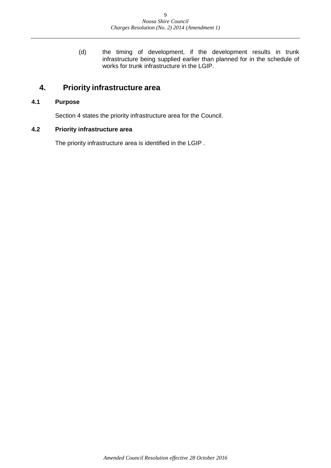(d) the timing of development, if the development results in trunk infrastructure being supplied earlier than planned for in the schedule of works for trunk infrastructure in the LGIP.

## <span id="page-8-0"></span>**4. Priority infrastructure area**

#### <span id="page-8-1"></span>**4.1 Purpose**

Section 4 states the priority infrastructure area for the Council.

#### <span id="page-8-2"></span>**4.2 Priority infrastructure area**

The priority infrastructure area is identified in the LGIP .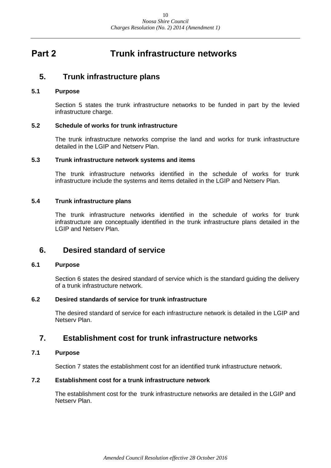## <span id="page-9-0"></span>**Part 2 Trunk infrastructure networks**

### <span id="page-9-1"></span>**5. Trunk infrastructure plans**

#### <span id="page-9-2"></span>**5.1 Purpose**

Section 5 states the trunk infrastructure networks to be funded in part by the levied infrastructure charge.

#### <span id="page-9-3"></span>**5.2 Schedule of works for trunk infrastructure**

The trunk infrastructure networks comprise the land and works for trunk infrastructure detailed in the LGIP and Netserv Plan.

#### <span id="page-9-4"></span>**5.3 Trunk infrastructure network systems and items**

The trunk infrastructure networks identified in the schedule of works for trunk infrastructure include the systems and items detailed in the LGIP and Netserv Plan.

#### <span id="page-9-5"></span>**5.4 Trunk infrastructure plans**

The trunk infrastructure networks identified in the schedule of works for trunk infrastructure are conceptually identified in the trunk infrastructure plans detailed in the LGIP and Netserv Plan.

### <span id="page-9-6"></span>**6. Desired standard of service**

#### <span id="page-9-7"></span>**6.1 Purpose**

Section 6 states the desired standard of service which is the standard guiding the delivery of a trunk infrastructure network.

#### <span id="page-9-8"></span>**6.2 Desired standards of service for trunk infrastructure**

The desired standard of service for each infrastructure network is detailed in the LGIP and Netserv Plan.

## <span id="page-9-9"></span>**7. Establishment cost for trunk infrastructure networks**

#### <span id="page-9-10"></span>**7.1 Purpose**

Section 7 states the establishment cost for an identified trunk infrastructure network.

#### <span id="page-9-11"></span>**7.2 Establishment cost for a trunk infrastructure network**

The establishment cost for the trunk infrastructure networks are detailed in the LGIP and Netserv Plan.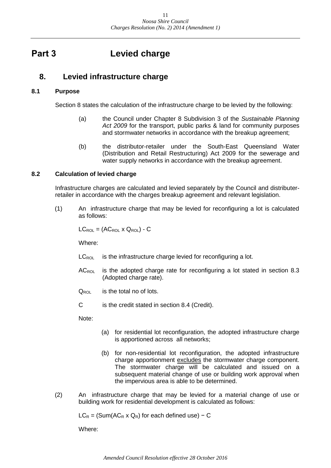## <span id="page-10-0"></span>**Part 3 Levied charge**

## <span id="page-10-1"></span>**8. Levied infrastructure charge**

#### <span id="page-10-2"></span>**8.1 Purpose**

Section 8 states the calculation of the infrastructure charge to be levied by the following:

- (a) the Council under Chapter 8 Subdivision 3 of the *Sustainable Planning Act 2009* for the transport, public parks & land for community purposes and stormwater networks in accordance with the breakup agreement;
- (b) the distributor-retailer under the South-East Queensland Water (Distribution and Retail Restructuring) Act 2009 for the sewerage and water supply networks in accordance with the breakup agreement.

#### <span id="page-10-3"></span>**8.2 Calculation of levied charge**

Infrastructure charges are calculated and levied separately by the Council and distributerretailer in accordance with the charges breakup agreement and relevant legislation.

(1) An infrastructure charge that may be levied for reconfiguring a lot is calculated as follows:

 $LC_{ROL} = (AC_{ROL} \times Q_{ROL}) - C$ 

Where:

- $LC_{\text{ROL}}$  is the infrastructure charge levied for reconfiguring a lot.
- $AC_{ROL}$  is the adopted charge rate for reconfiguring a lot stated in section 8.3 (Adopted charge rate).
- $Q_{\text{ROI}}$  is the total no of lots.
- C is the credit stated in section 8.4 (Credit).

Note:

- (a) for residential lot reconfiguration, the adopted infrastructure charge is apportioned across all networks;
- (b) for non-residential lot reconfiguration, the adopted infrastructure charge apportionment excludes the stormwater charge component. The stormwater charge will be calculated and issued on a subsequent material change of use or building work approval when the impervious area is able to be determined.
- (2) An infrastructure charge that may be levied for a material change of use or building work for residential development is calculated as follows:

 $LC_R = (Sum(AC_R \times Q_R)$  for each defined use) – C

Where: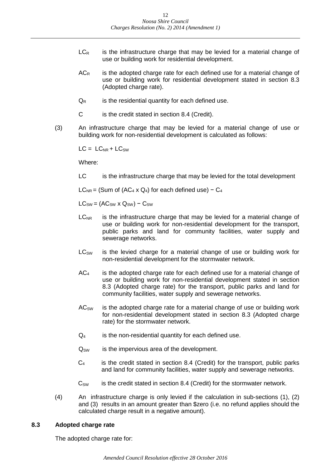- $LC_R$  is the infrastructure charge that may be levied for a material change of use or building work for residential development.
- $AC<sub>R</sub>$  is the adopted charge rate for each defined use for a material change of use or building work for residential development stated in section 8.3 (Adopted charge rate).
- $Q_R$  is the residential quantity for each defined use.
- C is the credit stated in section 8.4 (Credit).
- (3) An infrastructure charge that may be levied for a material change of use or building work for non-residential development is calculated as follows:

 $LC = LC_{NR} + LC_{SW}$ 

Where:

LC is the infrastructure charge that may be levied for the total development

 $LC_{NR}$  = (Sum of (AC<sub>4</sub> x Q<sub>4</sub>) for each defined use) – C<sub>4</sub>

 $LC_{SW} = (AC_{SW} \times Q_{SW}) - C_{SW}$ 

- $LC<sub>NR</sub>$  is the infrastructure charge that may be levied for a material change of use or building work for non-residential development for the transport, public parks and land for community facilities, water supply and sewerage networks.
- LC<sub>SW</sub> is the levied charge for a material change of use or building work for non-residential development for the stormwater network.
- $AC<sub>4</sub>$  is the adopted charge rate for each defined use for a material change of use or building work for non-residential development stated in section 8.3 (Adopted charge rate) for the transport, public parks and land for community facilities, water supply and sewerage networks.
- $AC<sub>SW</sub>$  is the adopted charge rate for a material change of use or building work for non-residential development stated in section 8.3 (Adopted charge rate) for the stormwater network.
- $Q_4$  is the non-residential quantity for each defined use.
- $Q_{SW}$  is the impervious area of the development.
- C<sup>4</sup> is the credit stated in section 8.4 (Credit) for the transport, public parks and land for community facilities, water supply and sewerage networks.
- $C_{\text{SW}}$  is the credit stated in section 8.4 (Credit) for the stormwater network.
- (4) An infrastructure charge is only levied if the calculation in sub-sections (1), (2) and (3) results in an amount greater than \$zero (i.e. no refund applies should the calculated charge result in a negative amount).

#### <span id="page-11-0"></span>**8.3 Adopted charge rate**

The adopted charge rate for: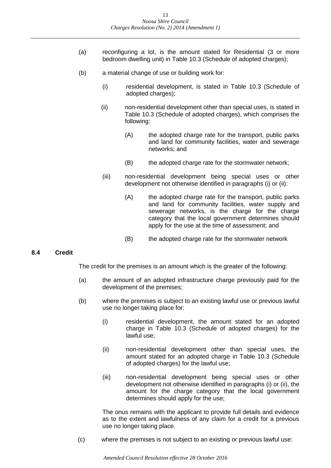- (a) reconfiguring a lot, is the amount stated for Residential (3 or more bedroom dwelling unit) in Table 10.3 (Schedule of adopted charges);
- (b) a material change of use or building work for:
	- (i) residential development, is stated in Table 10.3 (Schedule of adopted charges);
	- (ii) non-residential development other than special uses, is stated in Table 10.3 (Schedule of adopted charges), which comprises the following:
		- (A) the adopted charge rate for the transport, public parks and land for community facilities, water and sewerage networks; and
		- (B) the adopted charge rate for the stormwater network;
	- (iii) non-residential development being special uses or other development not otherwise identified in paragraphs (i) or (ii):
		- (A) the adopted charge rate for the transport, public parks and land for community facilities, water supply and sewerage networks, is the charge for the charge category that the local government determines should apply for the use at the time of assessment; and
		- (B) the adopted charge rate for the stormwater network

#### <span id="page-12-0"></span>**8.4 Credit**

The credit for the premises is an amount which is the greater of the following:

- (a) the amount of an adopted infrastructure charge previously paid for the development of the premises;
- (b) where the premises is subject to an existing lawful use or previous lawful use no longer taking place for:
	- (i) residential development, the amount stated for an adopted charge in Table 10.3 (Schedule of adopted charges) for the lawful use;
	- (ii) non-residential development other than special uses, the amount stated for an adopted charge in Table 10.3 (Schedule of adopted charges) for the lawful use;
	- (iii) non-residential development being special uses or other development not otherwise identified in paragraphs (i) or (ii), the amount for the charge category that the local government determines should apply for the use;

The onus remains with the applicant to provide full details and evidence as to the extent and lawfulness of any claim for a credit for a previous use no longer taking place.

(c) where the premises is not subject to an existing or previous lawful use: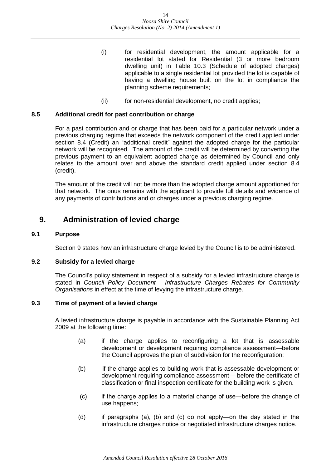- (i) for residential development, the amount applicable for a residential lot stated for Residential (3 or more bedroom dwelling unit) in Table 10.3 (Schedule of adopted charges) applicable to a single residential lot provided the lot is capable of having a dwelling house built on the lot in compliance the planning scheme requirements;
- (ii) for non-residential development, no credit applies;

#### <span id="page-13-0"></span>**8.5 Additional credit for past contribution or charge**

For a past contribution and or charge that has been paid for a particular network under a previous charging regime that exceeds the network component of the credit applied under section 8.4 (Credit) an "additional credit" against the adopted charge for the particular network will be recognised. The amount of the credit will be determined by converting the previous payment to an equivalent adopted charge as determined by Council and only relates to the amount over and above the standard credit applied under section 8.4 (credit).

The amount of the credit will not be more than the adopted charge amount apportioned for that network. The onus remains with the applicant to provide full details and evidence of any payments of contributions and or charges under a previous charging regime.

## <span id="page-13-1"></span>**9. Administration of levied charge**

#### <span id="page-13-2"></span>**9.1 Purpose**

Section 9 states how an infrastructure charge levied by the Council is to be administered.

#### <span id="page-13-3"></span>**9.2 Subsidy for a levied charge**

The Council's policy statement in respect of a subsidy for a levied infrastructure charge is stated in *Council Policy Document - Infrastructure Charges Rebates for Community Organisations* in effect at the time of levying the infrastructure charge.

#### <span id="page-13-4"></span>**9.3 Time of payment of a levied charge**

A levied infrastructure charge is payable in accordance with the Sustainable Planning Act 2009 at the following time:

- (a) if the charge applies to reconfiguring a lot that is assessable development or development requiring compliance assessment―before the Council approves the plan of subdivision for the reconfiguration;
- (b) if the charge applies to building work that is assessable development or development requiring compliance assessment― before the certificate of classification or final inspection certificate for the building work is given.
- (c) if the charge applies to a material change of use―before the change of use happens;
- (d) if paragraphs (a), (b) and (c) do not apply―on the day stated in the infrastructure charges notice or negotiated infrastructure charges notice.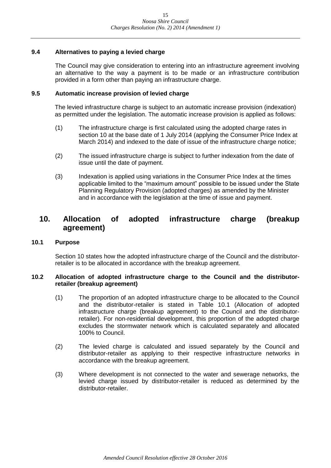#### <span id="page-14-0"></span>**9.4 Alternatives to paying a levied charge**

The Council may give consideration to entering into an infrastructure agreement involving an alternative to the way a payment is to be made or an infrastructure contribution provided in a form other than paying an infrastructure charge.

#### <span id="page-14-1"></span>**9.5 Automatic increase provision of levied charge**

The levied infrastructure charge is subject to an automatic increase provision (indexation) as permitted under the legislation. The automatic increase provision is applied as follows:

- (1) The infrastructure charge is first calculated using the adopted charge rates in section 10 at the base date of 1 July 2014 (applying the Consumer Price Index at March 2014) and indexed to the date of issue of the infrastructure charge notice;
- (2) The issued infrastructure charge is subject to further indexation from the date of issue until the date of payment.
- (3) Indexation is applied using variations in the Consumer Price Index at the times applicable limited to the "maximum amount" possible to be issued under the State Planning Regulatory Provision (adopted charges) as amended by the Minister and in accordance with the legislation at the time of issue and payment.

## <span id="page-14-2"></span>**10. Allocation of adopted infrastructure charge (breakup agreement)**

#### <span id="page-14-3"></span>**10.1 Purpose**

Section 10 states how the adopted infrastructure charge of the Council and the distributorretailer is to be allocated in accordance with the breakup agreement.

#### <span id="page-14-4"></span>**10.2 Allocation of adopted infrastructure charge to the Council and the distributorretailer (breakup agreement)**

- (1) The proportion of an adopted infrastructure charge to be allocated to the Council and the distributor-retailer is stated in Table 10.1 (Allocation of adopted infrastructure charge (breakup agreement) to the Council and the distributorretailer). For non-residential development, this proportion of the adopted charge excludes the stormwater network which is calculated separately and allocated 100% to Council.
- (2) The levied charge is calculated and issued separately by the Council and distributor-retailer as applying to their respective infrastructure networks in accordance with the breakup agreement.
- (3) Where development is not connected to the water and sewerage networks, the levied charge issued by distributor-retailer is reduced as determined by the distributor-retailer.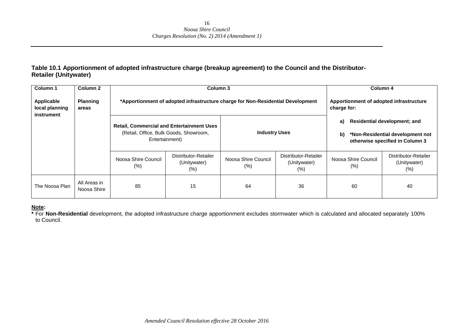#### **Table 10.1 Apportionment of adopted infrastructure charge (breakup agreement) to the Council and the Distributor-Retailer (Unitywater)**

| Column 1                                   | Column 2                    |                                                                                                              | Column 3                                                                        |                                                        |                                                 |                                | Column 4                                                                                                   |
|--------------------------------------------|-----------------------------|--------------------------------------------------------------------------------------------------------------|---------------------------------------------------------------------------------|--------------------------------------------------------|-------------------------------------------------|--------------------------------|------------------------------------------------------------------------------------------------------------|
| Applicable<br>local planning<br>instrument | <b>Planning</b><br>areas    |                                                                                                              | *Apportionment of adopted infrastructure charge for Non-Residential Development | Apportionment of adopted infrastructure<br>charge for: |                                                 |                                |                                                                                                            |
|                                            |                             | <b>Retail, Commercial and Entertainment Uses</b><br>(Retail, Office, Bulk Goods, Showroom,<br>Entertainment) |                                                                                 | <b>Industry Uses</b>                                   |                                                 | a)<br>b)                       | <b>Residential development; and</b><br>*Non-Residential development not<br>otherwise specified in Column 3 |
|                                            |                             | Noosa Shire Council<br>(% )                                                                                  | Distributor-Retailer<br>(Unitywater)<br>$(\%)$                                  | Noosa Shire Council<br>$(\%)$                          | Distributor-Retailer<br>(Unitywater)<br>$(\% )$ | Noosa Shire Council<br>$(\% )$ | Distributor-Retailer<br>(Unitywater)<br>$(\% )$                                                            |
| The Noosa Plan                             | All Areas in<br>Noosa Shire | 85                                                                                                           | 15                                                                              | 64                                                     | 36                                              | 60                             | 40                                                                                                         |

#### **Note:**

**\*** For **Non-Residential** development, the adopted infrastructure charge apportionment excludes stormwater which is calculated and allocated separately 100% to Council.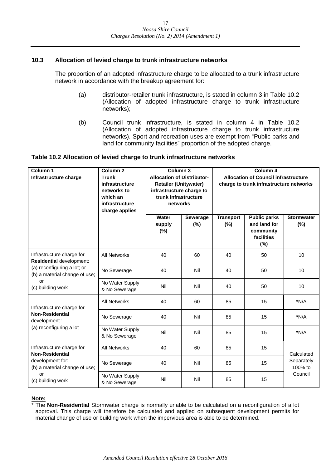#### <span id="page-16-0"></span>**10.3 Allocation of levied charge to trunk infrastructure networks**

The proportion of an adopted infrastructure charge to be allocated to a trunk infrastructure network in accordance with the breakup agreement for:

- (a) distributor-retailer trunk infrastructure, is stated in column 3 in Table 10.2 (Allocation of adopted infrastructure charge to trunk infrastructure networks);
- (b) Council trunk infrastructure, is stated in column 4 in Table 10.2 (Allocation of adopted infrastructure charge to trunk infrastructure networks). Sport and recreation uses are exempt from "Public parks and land for community facilities" proportion of the adopted charge.

#### **Table 10.2 Allocation of levied charge to trunk infrastructure networks**

| Column <sub>1</sub><br>Infrastructure charge                 | Column <sub>2</sub><br><b>Trunk</b><br>infrastructure<br>networks to<br>which an<br>infrastructure<br>charge applies |                        | Column <sub>3</sub><br><b>Allocation of Distributor-</b><br><b>Retailer (Unitywater)</b><br>infrastructure charge to<br>trunk infrastructure<br>networks | Column 4<br><b>Allocation of Council infrastructure</b><br>charge to trunk infrastructure networks |                                                                          |                          |
|--------------------------------------------------------------|----------------------------------------------------------------------------------------------------------------------|------------------------|----------------------------------------------------------------------------------------------------------------------------------------------------------|----------------------------------------------------------------------------------------------------|--------------------------------------------------------------------------|--------------------------|
|                                                              |                                                                                                                      | Water<br>supply<br>(%) | Sewerage<br>(%)                                                                                                                                          | <b>Transport</b><br>(%)                                                                            | <b>Public parks</b><br>and land for<br>community<br>facilities<br>$(\%)$ | <b>Stormwater</b><br>(%) |
| Infrastructure charge for<br>Residential development:        | <b>All Networks</b>                                                                                                  | 40                     | 60                                                                                                                                                       | 40                                                                                                 | 50                                                                       | 10                       |
| (a) reconfiguring a lot; or<br>(b) a material change of use; | No Sewerage                                                                                                          | 40                     | Nil                                                                                                                                                      | 40                                                                                                 | 50                                                                       | 10                       |
| or<br>(c) building work                                      | No Water Supply<br>& No Sewerage                                                                                     | Nil                    | Nil                                                                                                                                                      | 40                                                                                                 | 50                                                                       | 10                       |
| Infrastructure charge for                                    | <b>All Networks</b>                                                                                                  | 40                     | 60                                                                                                                                                       | 85                                                                                                 | 15                                                                       | $*N/A$                   |
| <b>Non-Residential</b><br>development :                      | No Sewerage                                                                                                          | 40                     | Nil                                                                                                                                                      | 85                                                                                                 | 15                                                                       | $*N/A$                   |
| (a) reconfiguring a lot                                      | No Water Supply<br>& No Sewerage                                                                                     | Nil                    | Nil                                                                                                                                                      | 85                                                                                                 | 15                                                                       | $*N/A$                   |
| Infrastructure charge for<br><b>Non-Residential</b>          | <b>All Networks</b>                                                                                                  | 40                     | 60                                                                                                                                                       | 85                                                                                                 | 15                                                                       | Calculated               |
| development for:<br>(b) a material change of use;            | No Sewerage                                                                                                          | 40                     | Nil                                                                                                                                                      | 85                                                                                                 | 15                                                                       | Separately<br>100% to    |
| or<br>(c) building work                                      | No Water Supply<br>& No Sewerage                                                                                     | Nil                    | Nil                                                                                                                                                      | 85                                                                                                 | 15                                                                       | Council                  |

#### **Note:**

\* The **Non-Residential** Stormwater charge is normally unable to be calculated on a reconfiguration of a lot approval. This charge will therefore be calculated and applied on subsequent development permits for material change of use or building work when the impervious area is able to be determined.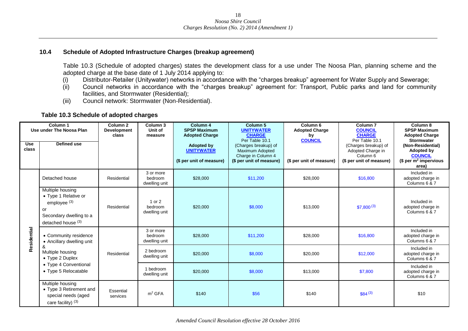#### **10.4 Schedule of Adopted Infrastructure Charges (breakup agreement)**

Table 10.3 (Schedule of adopted charges) states the development class for a use under The Noosa Plan, planning scheme and the adopted charge at the base date of 1 July 2014 applying to:

- (i) Distributor-Retailer (Unitywater) networks in accordance with the "charges breakup" agreement for Water Supply and Sewerage;
- (ii) Council networks in accordance with the "charges breakup" agreement for: Transport, Public parks and land for community facilities, and Stormwater (Residential);
- (iii) Council network: Stormwater (Non-Residential).

#### **Table 10.3 Schedule of adopted charges**

<span id="page-17-0"></span>

| Column <sub>1</sub><br>Use under The Noosa Plan |                                                                                                                            | Column <sub>2</sub><br><b>Development</b><br>class | Column 3<br>Unit of<br>measure        | Column 4<br><b>SPSP Maximum</b><br><b>Adopted Charge</b>           | Column <sub>5</sub><br><b>UNITYWATER</b><br><b>CHARGE</b>                                                   | Column <sub>6</sub><br><b>Adopted Charge</b><br>by | Column <sub>7</sub><br><b>COUNCIL</b><br><b>CHARGE</b>                                                         | Column 8<br><b>SPSP Maximum</b><br><b>Adopted Charge</b>                                                            |
|-------------------------------------------------|----------------------------------------------------------------------------------------------------------------------------|----------------------------------------------------|---------------------------------------|--------------------------------------------------------------------|-------------------------------------------------------------------------------------------------------------|----------------------------------------------------|----------------------------------------------------------------------------------------------------------------|---------------------------------------------------------------------------------------------------------------------|
| <b>Use</b><br>class                             | <b>Defined use</b>                                                                                                         |                                                    |                                       | <b>Adopted by</b><br><b>UNITYWATER</b><br>(\$ per unit of measure) | Per Table 10.1<br>(Charges breakup) of<br>Maximum Adopted<br>Charge in Column 4<br>(\$ per unit of measure) | <b>COUNCIL</b><br>(\$ per unit of measure)         | Per Table 10.1<br>(Charges breakup) of<br>Adopted Charge in<br>Column <sub>6</sub><br>(\$ per unit of measure) | <b>Stormwater</b><br>(Non-Residential)<br>Adopted by<br><b>COUNCIL</b><br>\$ per m <sup>2</sup> impervious<br>area) |
|                                                 | Detached house                                                                                                             | Residential                                        | 3 or more<br>bedroom<br>dwelling unit | \$28,000                                                           | \$11,200                                                                                                    | \$28,000                                           | \$16,800                                                                                                       | Included in<br>adopted charge in<br>Columns 6 & 7                                                                   |
|                                                 | Multiple housing<br>• Type 1 Relative or<br>employee <sup>(3)</sup><br>or<br>Secondary dwelling to a<br>detached house (3) | Residential                                        | 1 or 2<br>bedroom<br>dwelling unit    | \$20,000                                                           | \$8,000                                                                                                     | \$13,000                                           | $$7,800^{(3)}$                                                                                                 | Included in<br>adopted charge in<br>Columns 6 & 7                                                                   |
| Residential                                     | • Community residence<br>• Ancillary dwelling unit                                                                         |                                                    | 3 or more<br>bedroom<br>dwelling unit | \$28,000                                                           | \$11,200                                                                                                    | \$28,000                                           | \$16,800                                                                                                       | Included in<br>adopted charge in<br>Columns 6 & 7                                                                   |
|                                                 | &<br>Multiple housing<br>$\bullet$ Type 2 Duplex                                                                           | Residential                                        | 2 bedroom<br>dwelling unit            | \$20,000                                                           | \$8,000                                                                                                     | \$20,000                                           | \$12,000                                                                                                       | Included in<br>adopted charge in<br>Columns 6 & 7                                                                   |
|                                                 | • Type 4 Conventional<br>• Type 5 Relocatable                                                                              |                                                    | 1 bedroom<br>dwelling unit            | \$20,000                                                           | \$8,000                                                                                                     | \$13,000                                           | \$7,800                                                                                                        | Included in<br>adopted charge in<br>Columns 6 & 7                                                                   |
|                                                 | Multiple housing<br>• Type 3 Retirement and<br>special needs (aged<br>care facility) $(3)$                                 | Essential<br>services                              | m <sup>2</sup> GFA                    | \$140                                                              | \$56                                                                                                        | \$140                                              | $$84^{(3)}$                                                                                                    | \$10                                                                                                                |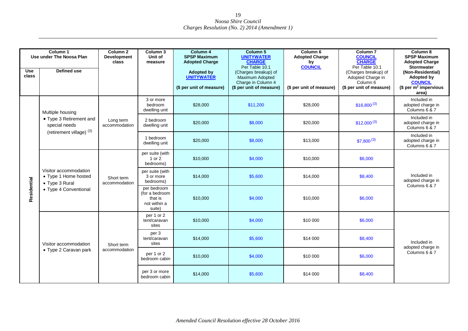| <b>Use</b><br>class | Column 1<br>Use under The Noosa Plan<br><b>Defined use</b>                               | Column <sub>2</sub><br><b>Development</b><br>class | Column 3<br>Unit of<br>measure                                     | Column 4<br><b>SPSP Maximum</b><br><b>Adopted Charge</b><br><b>Adopted by</b><br><b>UNITYWATER</b><br>(\$ per unit of measure) | Column 5<br><b>UNITYWATER</b><br><b>CHARGE</b><br>Per Table 10.1<br>(Charges breakup) of<br>Maximum Adopted<br>Charge in Column 4<br>(\$ per unit of measure) | Column <sub>6</sub><br><b>Adopted Charge</b><br>by<br><b>COUNCIL</b><br>(\$ per unit of measure) | Column <sub>7</sub><br><b>COUNCIL</b><br><b>CHARGE</b><br>Per Table 10.1<br>(Charges breakup) of<br>Adopted Charge in<br>Column 6<br>(\$ per unit of measure) | Column 8<br><b>SPSP Maximum</b><br><b>Adopted Charge</b><br><b>Stormwater</b><br>(Non-Residential)<br>Adopted by<br><b>COUNCIL</b><br>\$ per m <sup>2</sup> impervious<br>area) |
|---------------------|------------------------------------------------------------------------------------------|----------------------------------------------------|--------------------------------------------------------------------|--------------------------------------------------------------------------------------------------------------------------------|---------------------------------------------------------------------------------------------------------------------------------------------------------------|--------------------------------------------------------------------------------------------------|---------------------------------------------------------------------------------------------------------------------------------------------------------------|---------------------------------------------------------------------------------------------------------------------------------------------------------------------------------|
|                     | Multiple housing                                                                         |                                                    | 3 or more<br>bedroom<br>dwelling unit                              | \$28,000                                                                                                                       | \$11.200                                                                                                                                                      | \$28,000                                                                                         | $$16,800^{(3)}$                                                                                                                                               | Included in<br>adopted charge in<br>Columns 6 & 7                                                                                                                               |
|                     | • Type 3 Retirement and<br>special needs                                                 | Long term<br>accommodation                         | 2 bedroom<br>dwelling unit                                         | \$20,000                                                                                                                       | \$8,000                                                                                                                                                       | \$20,000                                                                                         | $$12,000^{(3)}$                                                                                                                                               | Included in<br>adopted charge in<br>Columns 6 & 7                                                                                                                               |
| Residential         | (retirement village) (3)                                                                 |                                                    | 1 bedroom<br>dwelling unit                                         | \$20,000                                                                                                                       | \$8,000                                                                                                                                                       | \$13,000                                                                                         | $$7,800^{(3)}$                                                                                                                                                | Included in<br>adopted charge in<br>Columns 6 & 7                                                                                                                               |
|                     | Visitor accommodation<br>• Type 1 Home hosted<br>• Type 3 Rural<br>• Type 4 Conventional | Short term<br>accommodation                        | per suite (with<br>1 or 2<br>bedrooms)                             | \$10,000                                                                                                                       | \$4,000                                                                                                                                                       | \$10,000                                                                                         | \$6,000                                                                                                                                                       |                                                                                                                                                                                 |
|                     |                                                                                          |                                                    | per suite (with<br>3 or more<br>bedrooms)                          | \$14,000                                                                                                                       | \$5,600                                                                                                                                                       | \$14,000                                                                                         | \$8,400                                                                                                                                                       | Included in<br>adopted charge in<br>Columns 6 & 7                                                                                                                               |
|                     |                                                                                          |                                                    | per bedroom<br>(for a bedroom<br>that is<br>not within a<br>suite) | \$10,000                                                                                                                       | \$4,000                                                                                                                                                       | \$10,000                                                                                         | \$6,000                                                                                                                                                       |                                                                                                                                                                                 |
|                     |                                                                                          |                                                    | per 1 or 2<br>tent/caravan<br>sites                                | \$10,000                                                                                                                       | \$4,000                                                                                                                                                       | \$10 000                                                                                         | \$6,000                                                                                                                                                       |                                                                                                                                                                                 |
|                     | Visitor accommodation                                                                    | Short term                                         | per 3<br>tent/caravan<br>sites                                     | \$14,000                                                                                                                       | \$5,600                                                                                                                                                       | \$14 000                                                                                         | \$8,400                                                                                                                                                       | Included in                                                                                                                                                                     |
|                     | • Type 2 Caravan park                                                                    | accommodation                                      | per 1 or 2<br>bedroom cabin                                        | \$10,000                                                                                                                       | \$4,000                                                                                                                                                       | \$10 000                                                                                         | \$6,000                                                                                                                                                       | adopted charge in<br>Columns 6 & 7                                                                                                                                              |
|                     |                                                                                          |                                                    | per 3 or more<br>bedroom cabin                                     | \$14,000                                                                                                                       | \$5,600                                                                                                                                                       | \$14 000                                                                                         | \$8,400                                                                                                                                                       |                                                                                                                                                                                 |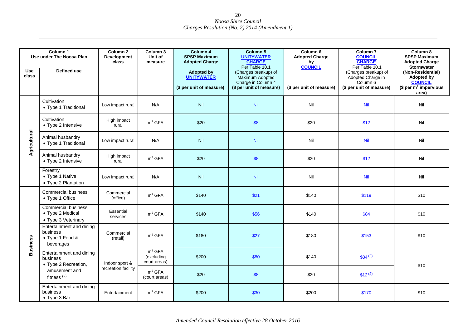| Column 1<br>Use under The Noosa Plan |                                                                       | Column 2<br><b>Development</b><br>class | Column 3<br>Unit of<br>measure                   | Column 4<br><b>SPSP Maximum</b><br><b>Adopted Charge</b>           | Column 5<br><b>UNITYWATER</b><br><b>CHARGE</b><br>Per Table 10.1                          | Column 6<br><b>Adopted Charge</b><br>by<br><b>COUNCIL</b> | Column <sub>7</sub><br><b>COUNCIL</b><br><b>CHARGE</b><br>Per Table 10.1          | Column 8<br><b>SPSP Maximum</b><br><b>Adopted Charge</b><br><b>Stormwater</b>                         |
|--------------------------------------|-----------------------------------------------------------------------|-----------------------------------------|--------------------------------------------------|--------------------------------------------------------------------|-------------------------------------------------------------------------------------------|-----------------------------------------------------------|-----------------------------------------------------------------------------------|-------------------------------------------------------------------------------------------------------|
| <b>Use</b><br>class                  | <b>Defined use</b>                                                    |                                         |                                                  | <b>Adopted by</b><br><b>UNITYWATER</b><br>(\$ per unit of measure) | (Charges breakup) of<br>Maximum Adopted<br>Charge in Column 4<br>(\$ per unit of measure) | (\$ per unit of measure)                                  | (Charges breakup) of<br>Adopted Charge in<br>Column 6<br>(\$ per unit of measure) | (Non-Residential)<br><b>Adopted by</b><br><b>COUNCIL</b><br>\$ per m <sup>2</sup> impervious<br>area) |
|                                      | Cultivation<br>• Type 1 Traditional                                   | Low impact rural                        | N/A                                              | Nil                                                                | Nil                                                                                       | Nil                                                       | <b>Nil</b>                                                                        | Nil                                                                                                   |
| Agricultural                         | Cultivation<br>• Type 2 Intensive                                     | High impact<br>rural                    | m <sup>2</sup> GFA                               | \$20                                                               | \$8                                                                                       | \$20                                                      | \$12                                                                              | Nil                                                                                                   |
|                                      | Animal husbandry<br>• Type 1 Traditional                              | Low impact rural                        | N/A                                              | Nil                                                                | Nil                                                                                       | Nil                                                       | <b>Nil</b>                                                                        | Nil                                                                                                   |
|                                      | Animal husbandry<br>• Type 2 Intensive                                | High impact<br>rural                    | m <sup>2</sup> GFA                               | \$20                                                               | \$8                                                                                       | \$20                                                      | \$12                                                                              | Nil                                                                                                   |
|                                      | Forestry<br>• Type 1 Native<br>• Type 2 Plantation                    | Low impact rural                        | N/A                                              | Nil                                                                | Nil                                                                                       | Nil                                                       | Nil                                                                               | Nil                                                                                                   |
|                                      | <b>Commercial business</b><br>• Type 1 Office                         | Commercial<br>(office)                  | m <sup>2</sup> GFA                               | \$140                                                              | \$21                                                                                      | \$140                                                     | \$119                                                                             | \$10                                                                                                  |
|                                      | <b>Commercial business</b><br>• Type 2 Medical<br>• Type 3 Veterinary | Essential<br>services                   | m <sup>2</sup> GFA                               | \$140                                                              | \$56                                                                                      | \$140                                                     | \$84                                                                              | \$10                                                                                                  |
| <b>Business</b>                      | Entertainment and dining<br>business<br>• Type 1 Food &<br>beverages  | Commercial<br>(retail)                  | m <sup>2</sup> GFA                               | \$180                                                              | \$27                                                                                      | \$180                                                     | \$153                                                                             | \$10                                                                                                  |
|                                      | Entertainment and dining<br>business<br>• Type 2 Recreation,          | Indoor sport &                          | m <sup>2</sup> GFA<br>(excluding<br>court areas) | \$200                                                              | \$80                                                                                      | \$140                                                     | $$84^{(2)}$                                                                       | \$10                                                                                                  |
|                                      | amusement and<br>fitness $(2)$                                        | recreation facility                     | m <sup>2</sup> GFA<br>(court areas)              | \$20                                                               | \$8                                                                                       | \$20                                                      | $$12^{(2)}$                                                                       |                                                                                                       |
|                                      | Entertainment and dining<br>business<br>$\bullet$ Type 3 Bar          | Entertainment                           | m <sup>2</sup> GFA                               | \$200                                                              | \$30                                                                                      | \$200                                                     | \$170                                                                             | \$10                                                                                                  |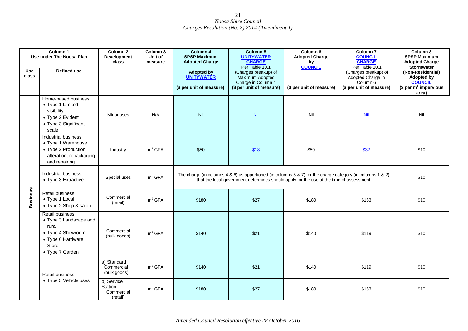| Column 1            |                                                                                                                                 | Column <sub>2</sub>                             | Column 3           | Column 4                                                                                                           | Column 5                                                                                                                                                                                                          | Column 6                                                                  | Column <sub>7</sub>                                                                                                                    | Column 8                                                                                                                                                                   |
|---------------------|---------------------------------------------------------------------------------------------------------------------------------|-------------------------------------------------|--------------------|--------------------------------------------------------------------------------------------------------------------|-------------------------------------------------------------------------------------------------------------------------------------------------------------------------------------------------------------------|---------------------------------------------------------------------------|----------------------------------------------------------------------------------------------------------------------------------------|----------------------------------------------------------------------------------------------------------------------------------------------------------------------------|
| <b>Use</b><br>class | Use under The Noosa Plan<br>Defined use                                                                                         | <b>Development</b><br>class                     | Unit of<br>measure | <b>SPSP Maximum</b><br><b>Adopted Charge</b><br><b>Adopted by</b><br><b>UNITYWATER</b><br>(\$ per unit of measure) | <b>UNITYWATER</b><br><b>CHARGE</b><br>Per Table 10.1<br>(Charges breakup) of<br>Maximum Adopted<br>Charge in Column 4<br>(\$ per unit of measure)                                                                 | <b>Adopted Charge</b><br>by<br><b>COUNCIL</b><br>(\$ per unit of measure) | <b>COUNCIL</b><br><b>CHARGE</b><br>Per Table 10.1<br>(Charges breakup) of<br>Adopted Charge in<br>Column 6<br>(\$ per unit of measure) | <b>SPSP Maximum</b><br><b>Adopted Charge</b><br><b>Stormwater</b><br>(Non-Residential)<br><b>Adopted by</b><br><b>COUNCIL</b><br>\$ per m <sup>2</sup> impervious<br>area) |
|                     | Home-based business<br>• Type 1 Limited<br>visibility<br>• Type 2 Evident<br>• Type 3 Significant<br>scale                      | Minor uses                                      | N/A                | Nil                                                                                                                | <b>Nil</b>                                                                                                                                                                                                        | Nil                                                                       | <b>Nil</b>                                                                                                                             | Nil                                                                                                                                                                        |
|                     | Industrial business<br>• Type 1 Warehouse<br>• Type 2 Production,<br>alteration, repackaging<br>and repairing                   | Industry                                        | m <sup>2</sup> GFA | \$50                                                                                                               | \$18                                                                                                                                                                                                              | \$50                                                                      | \$32                                                                                                                                   | \$10                                                                                                                                                                       |
|                     | Industrial business<br>• Type 3 Extractive                                                                                      | Special uses                                    | m <sup>2</sup> GFA |                                                                                                                    | The charge (in columns $4 \& 6$ ) as apportioned (in columns $5 \& 7$ ) for the charge category (in columns $1 \& 2$ )<br>that the local government determines should apply for the use at the time of assessment |                                                                           |                                                                                                                                        |                                                                                                                                                                            |
| <b>Business</b>     | Retail business<br>• Type 1 Local<br>• Type 2 Shop & salon                                                                      | Commercial<br>(retail)                          | m <sup>2</sup> GFA | \$180                                                                                                              | \$27                                                                                                                                                                                                              | \$180                                                                     | \$153                                                                                                                                  | \$10                                                                                                                                                                       |
|                     | <b>Retail business</b><br>• Type 3 Landscape and<br>rural<br>• Type 4 Showroom<br>• Type 6 Hardware<br>Store<br>• Type 7 Garden | Commercial<br>(bulk goods)                      | m <sup>2</sup> GFA | \$140                                                                                                              | \$21                                                                                                                                                                                                              | \$140                                                                     | \$119                                                                                                                                  | \$10                                                                                                                                                                       |
|                     | Retail business                                                                                                                 | a) Standard<br>Commercial<br>(bulk goods)       | m <sup>2</sup> GFA | \$140                                                                                                              | \$21                                                                                                                                                                                                              | \$140                                                                     | \$119                                                                                                                                  | \$10                                                                                                                                                                       |
|                     | • Type 5 Vehicle uses                                                                                                           | b) Service<br>Station<br>Commercial<br>(retail) | m <sup>2</sup> GFA | \$180                                                                                                              | \$27                                                                                                                                                                                                              | \$180                                                                     | \$153                                                                                                                                  | \$10                                                                                                                                                                       |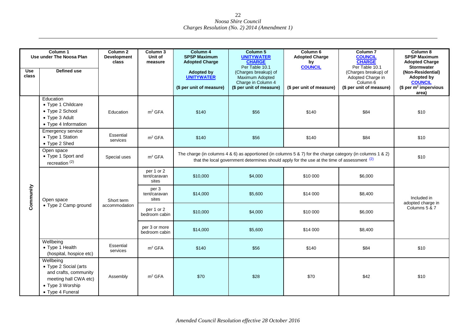| <b>Use</b><br>class | Column <sub>1</sub><br>Use under The Noosa Plan<br><b>Defined use</b>                                                        | Column <sub>2</sub><br><b>Development</b><br>class | Column 3<br>Unit of<br>measure      | Column 4<br><b>SPSP Maximum</b><br><b>Adopted Charge</b><br><b>Adopted by</b><br><b>UNITYWATER</b><br>(\$ per unit of measure) | Column 5<br><b>UNITYWATER</b><br><b>CHARGE</b><br>Per Table 10.1<br>(Charges breakup) of<br>Maximum Adopted<br>Charge in Column 4<br>(\$ per unit of measure)                                                           | Column <sub>6</sub><br><b>Adopted Charge</b><br>by<br><b>COUNCIL</b><br>(\$ per unit of measure) | Column <sub>7</sub><br><b>COUNCIL</b><br><b>CHARGE</b><br>Per Table 10.1<br>(Charges breakup) of<br>Adopted Charge in<br>Column 6<br>(\$ per unit of measure) | Column 8<br><b>SPSP Maximum</b><br><b>Adopted Charge</b><br><b>Stormwater</b><br>(Non-Residential)<br><b>Adopted by</b><br><b>COUNCIL</b><br>(\$ per $m^2$ impervious<br>area) |
|---------------------|------------------------------------------------------------------------------------------------------------------------------|----------------------------------------------------|-------------------------------------|--------------------------------------------------------------------------------------------------------------------------------|-------------------------------------------------------------------------------------------------------------------------------------------------------------------------------------------------------------------------|--------------------------------------------------------------------------------------------------|---------------------------------------------------------------------------------------------------------------------------------------------------------------|--------------------------------------------------------------------------------------------------------------------------------------------------------------------------------|
|                     | Education<br>• Type 1 Childcare<br>• Type 2 School<br>• Type 3 Adult<br>• Type 4 Information                                 | Education                                          | m <sup>2</sup> GFA                  | \$140                                                                                                                          | \$56                                                                                                                                                                                                                    | \$140                                                                                            | \$84                                                                                                                                                          | \$10                                                                                                                                                                           |
|                     | <b>Emergency service</b><br>• Type 1 Station<br>• Type 2 Shed                                                                | Essential<br>services                              | m <sup>2</sup> GFA                  | \$140                                                                                                                          | \$56                                                                                                                                                                                                                    | \$140                                                                                            | \$84                                                                                                                                                          | \$10                                                                                                                                                                           |
|                     | Open space<br>• Type 1 Sport and<br>recreation $(2)$                                                                         | Special uses                                       | m <sup>2</sup> GFA                  |                                                                                                                                | The charge (in columns $4 \& 6$ ) as apportioned (in columns $5 \& 7$ ) for the charge category (in columns $1 \& 2$ )<br>that the local government determines should apply for the use at the time of assessment $(2)$ |                                                                                                  |                                                                                                                                                               |                                                                                                                                                                                |
|                     | Open space                                                                                                                   | Short term<br>accommodation                        | per 1 or 2<br>tent/caravan<br>sites | \$10,000                                                                                                                       | \$4,000                                                                                                                                                                                                                 | \$10 000                                                                                         | \$6,000                                                                                                                                                       |                                                                                                                                                                                |
| Community           |                                                                                                                              |                                                    | per 3<br>tent/caravan<br>sites      | \$14,000                                                                                                                       | \$5,600                                                                                                                                                                                                                 | \$14 000                                                                                         | \$8,400                                                                                                                                                       | Included in<br>adopted charge in                                                                                                                                               |
|                     | • Type 2 Camp ground                                                                                                         |                                                    | per 1 or 2<br>bedroom cabin         | \$10,000                                                                                                                       | \$4,000                                                                                                                                                                                                                 | \$10 000                                                                                         | \$6,000                                                                                                                                                       | Columns 5 & 7                                                                                                                                                                  |
|                     |                                                                                                                              |                                                    | per 3 or more<br>bedroom cabin      | \$14,000                                                                                                                       | \$5,600                                                                                                                                                                                                                 | \$14 000                                                                                         | \$8,400                                                                                                                                                       |                                                                                                                                                                                |
|                     | Wellbeing<br>• Type 1 Health<br>(hospital, hospice etc)                                                                      | Essential<br>services                              | m <sup>2</sup> GFA                  | \$140                                                                                                                          | \$56                                                                                                                                                                                                                    | \$140                                                                                            | \$84                                                                                                                                                          | \$10                                                                                                                                                                           |
|                     | Wellbeing<br>• Type 2 Social (arts<br>and crafts, community<br>meeting hall CWA etc)<br>• Type 3 Worship<br>• Type 4 Funeral | Assembly                                           | m <sup>2</sup> GFA                  | \$70                                                                                                                           | \$28                                                                                                                                                                                                                    | \$70                                                                                             | \$42                                                                                                                                                          | \$10                                                                                                                                                                           |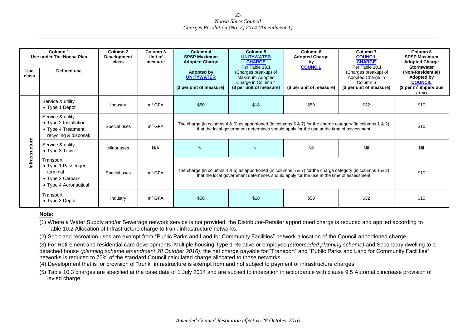| <b>Use</b><br>class | Column <sub>1</sub><br>Use under The Noosa Plan<br>Defined use                             | Column <sub>2</sub><br><b>Development</b><br>class | Column 3<br>Unit of<br>measure | Column 4<br><b>SPSP Maximum</b><br><b>Adopted Charge</b><br><b>Adopted by</b><br><b>UNITYWATER</b><br>(\$ per unit of measure)                                                                        | Column 5<br><b>UNITYWATER</b><br><b>CHARGE</b><br>Per Table 10.1<br>(Charges breakup) of<br>Maximum Adopted<br>Charge in Column 4<br>(\$ per unit of measure)                                         | Column <sub>6</sub><br><b>Adopted Charge</b><br>by<br><b>COUNCIL</b><br>(\$ per unit of measure) | Column <sub>7</sub><br><b>COUNCIL</b><br><b>CHARGE</b><br>Per Table 10.1<br>(Charges breakup) of<br>Adopted Charge in<br>Column 6<br>(\$ per unit of measure) | Column 8<br><b>SPSP Maximum</b><br><b>Adopted Charge</b><br><b>Stormwater</b><br>(Non-Residential)<br>Adopted by<br><b>COUNCIL</b><br>(\$ per $m^2$ impervious<br>area) |  |
|---------------------|--------------------------------------------------------------------------------------------|----------------------------------------------------|--------------------------------|-------------------------------------------------------------------------------------------------------------------------------------------------------------------------------------------------------|-------------------------------------------------------------------------------------------------------------------------------------------------------------------------------------------------------|--------------------------------------------------------------------------------------------------|---------------------------------------------------------------------------------------------------------------------------------------------------------------|-------------------------------------------------------------------------------------------------------------------------------------------------------------------------|--|
|                     | Service & utility<br>$\bullet$ Type 1 Depot                                                | Industry                                           | m <sup>2</sup> GFA             | \$50                                                                                                                                                                                                  | \$18                                                                                                                                                                                                  | \$50                                                                                             | \$32                                                                                                                                                          | \$10                                                                                                                                                                    |  |
|                     | Service & utility<br>• Type 2 Installation<br>• Type 4 Treatment,<br>recycling & disposal; | Special uses                                       | m <sup>2</sup> GFA             |                                                                                                                                                                                                       | The charge (in columns 4 & 6) as apportioned (in columns 5 & 7) for the charge category (in columns 1 & 2)<br>that the local government determines should apply for the use at the time of assessment |                                                                                                  |                                                                                                                                                               |                                                                                                                                                                         |  |
| ructure             | Service & utility<br>• Type 3 Tower                                                        | Minor uses                                         | N/A                            | Nil                                                                                                                                                                                                   | Nil                                                                                                                                                                                                   | Nil                                                                                              | Nil                                                                                                                                                           | Nil                                                                                                                                                                     |  |
| nfrastr             | Transport<br>• Type 1 Passenger<br>terminal<br>• Type 2 Carpark<br>• Type 4 Aeronautical   | Special uses                                       | m <sup>2</sup> GFA             | The charge (in columns 4 & 6) as apportioned (in columns 5 & 7) for the charge category (in columns 1 & 2)<br>that the local government determines should apply for the use at the time of assessment |                                                                                                                                                                                                       |                                                                                                  |                                                                                                                                                               | \$10                                                                                                                                                                    |  |
|                     | Transport<br>• Type 3 Depot                                                                | Industry                                           | m <sup>2</sup> GFA             | \$50                                                                                                                                                                                                  | \$18                                                                                                                                                                                                  | \$50                                                                                             | \$32                                                                                                                                                          | \$10                                                                                                                                                                    |  |

#### **Note:**

(1) Where a Water Supply and/or Sewerage network service is not provided, the Distributor-Retailer apportioned charge is reduced and applied according to Table 10.2 Allocation of Infrastructure charge to trunk infrastructure networks.

(2) Sport and recreation uses are exempt from "Public Parks and Land for Community Facilities" network allocation of the Council apportioned charge.

(3) For Retirement and residential care developments, Multiple housing Type 1 Relative or employee *(superseded planning scheme)* and Secondary dwelling to a detached house *(planning scheme amendment 28 October 2016*), the net charge payable for "Transport" and "Public Parks and Land for Community Facilities" networks is reduced to 70% of the standard Council calculated charge allocated to those networks.

(4) Development that is for provision of "trunk" infrastructure is exempt from and not subject to payment of infrastructure charges.

(5) Table 10.3 charges are specified at the base date of 1 July 2014 and are subject to indexation in accordance with clause 9.5 Automatic increase provision of levied charge.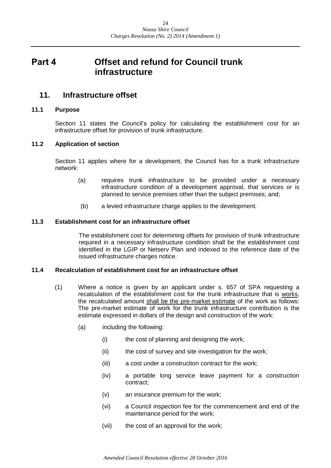## <span id="page-23-0"></span>**Part 4 Offset and refund for Council trunk infrastructure**

## <span id="page-23-1"></span>**11. Infrastructure offset**

#### <span id="page-23-2"></span>**11.1 Purpose**

Section 11 states the Council's policy for calculating the establishment cost for an infrastructure offset for provision of trunk infrastructure.

#### <span id="page-23-3"></span>**11.2 Application of section**

Section 11 applies where for a development, the Council has for a trunk infrastructure network:

- (a) requires trunk infrastructure to be provided under a necessary infrastructure condition of a development approval, that services or is planned to service premises other than the subject premises; and;
- (b) a levied infrastructure charge applies to the development.

#### <span id="page-23-4"></span>**11.3 Establishment cost for an infrastructure offset**

The establishment cost for determining offsets for provision of trunk infrastructure required in a necessary infrastructure condition shall be the establishment cost identified in the LGIP or Netserv Plan and indexed to the reference date of the issued infrastructure charges notice.

#### <span id="page-23-5"></span>**11.4 Recalculation of establishment cost for an infrastructure offset**

- (1) Where a notice is given by an applicant under s. 657 of SPA requesting a recalculation of the establishment cost for the trunk infrastructure that is works, the recalculated amount shall be the pre-market estimate of the work as follows: The pre-market estimate of work for the trunk infrastructure contribution is the estimate expressed in dollars of the design and construction of the work:
	- (a) including the following:
		- (i) the cost of planning and designing the work;
		- (ii) the cost of survey and site investigation for the work;
		- (iii) a cost under a construction contract for the work;
		- (iv) a portable long service leave payment for a construction contract;
		- (v) an insurance premium for the work;
		- (vi) a Council inspection fee for the commencement and end of the maintenance period for the work;
		- (vii) the cost of an approval for the work;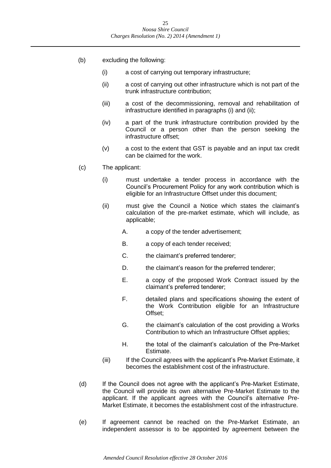- (b) excluding the following:
	- (i) a cost of carrying out temporary infrastructure;
	- (ii) a cost of carrying out other infrastructure which is not part of the trunk infrastructure contribution;
	- (iii) a cost of the decommissioning, removal and rehabilitation of infrastructure identified in paragraphs (i) and (ii);
	- (iv) a part of the trunk infrastructure contribution provided by the Council or a person other than the person seeking the infrastructure offset;
	- (v) a cost to the extent that GST is payable and an input tax credit can be claimed for the work.
- (c) The applicant:
	- (i) must undertake a tender process in accordance with the Council's Procurement Policy for any work contribution which is eligible for an Infrastructure Offset under this document;
	- (ii) must give the Council a Notice which states the claimant's calculation of the pre-market estimate, which will include, as applicable;
		- A. a copy of the tender advertisement;
		- B. a copy of each tender received;
		- C. the claimant's preferred tenderer;
		- D. the claimant's reason for the preferred tenderer;
		- E. a copy of the proposed Work Contract issued by the claimant's preferred tenderer;
		- F. detailed plans and specifications showing the extent of the Work Contribution eligible for an Infrastructure Offset;
		- G. the claimant's calculation of the cost providing a Works Contribution to which an Infrastructure Offset applies;
		- H. the total of the claimant's calculation of the Pre-Market Estimate.
	- (iii) If the Council agrees with the applicant's Pre-Market Estimate, it becomes the establishment cost of the infrastructure.
- (d) If the Council does not agree with the applicant's Pre-Market Estimate, the Council will provide its own alternative Pre-Market Estimate to the applicant. If the applicant agrees with the Council's alternative Pre-Market Estimate, it becomes the establishment cost of the infrastructure.
- (e) If agreement cannot be reached on the Pre-Market Estimate, an independent assessor is to be appointed by agreement between the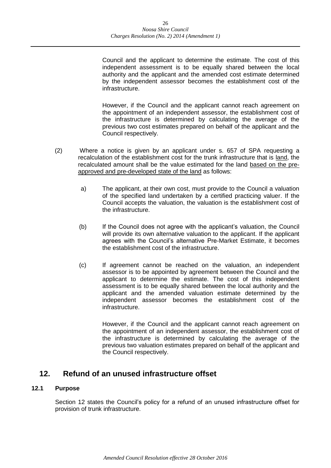Council and the applicant to determine the estimate. The cost of this independent assessment is to be equally shared between the local authority and the applicant and the amended cost estimate determined by the independent assessor becomes the establishment cost of the infrastructure.

However, if the Council and the applicant cannot reach agreement on the appointment of an independent assessor, the establishment cost of the infrastructure is determined by calculating the average of the previous two cost estimates prepared on behalf of the applicant and the Council respectively.

- (2) Where a notice is given by an applicant under s. 657 of SPA requesting a recalculation of the establishment cost for the trunk infrastructure that is land, the recalculated amount shall be the value estimated for the land based on the preapproved and pre-developed state of the land as follows:
	- a) The applicant, at their own cost, must provide to the Council a valuation of the specified land undertaken by a certified practicing valuer. If the Council accepts the valuation, the valuation is the establishment cost of the infrastructure.
	- (b) If the Council does not agree with the applicant's valuation, the Council will provide its own alternative valuation to the applicant. If the applicant agrees with the Council's alternative Pre-Market Estimate, it becomes the establishment cost of the infrastructure.
	- (c) If agreement cannot be reached on the valuation, an independent assessor is to be appointed by agreement between the Council and the applicant to determine the estimate. The cost of this independent assessment is to be equally shared between the local authority and the applicant and the amended valuation estimate determined by the independent assessor becomes the establishment cost of the infrastructure.

However, if the Council and the applicant cannot reach agreement on the appointment of an independent assessor, the establishment cost of the infrastructure is determined by calculating the average of the previous two valuation estimates prepared on behalf of the applicant and the Council respectively.

## <span id="page-25-0"></span>**12. Refund of an unused infrastructure offset**

#### <span id="page-25-1"></span>**12.1 Purpose**

Section 12 states the Council's policy for a refund of an unused infrastructure offset for provision of trunk infrastructure.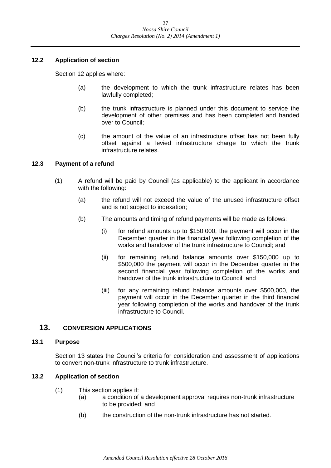#### <span id="page-26-0"></span>**12.2 Application of section**

Section 12 applies where:

- (a) the development to which the trunk infrastructure relates has been lawfully completed;
- (b) the trunk infrastructure is planned under this document to service the development of other premises and has been completed and handed over to Council;
- (c) the amount of the value of an infrastructure offset has not been fully offset against a levied infrastructure charge to which the trunk infrastructure relates.

#### <span id="page-26-1"></span>**12.3 Payment of a refund**

- (1) A refund will be paid by Council (as applicable) to the applicant in accordance with the following:
	- (a) the refund will not exceed the value of the unused infrastructure offset and is not subject to indexation;
	- (b) The amounts and timing of refund payments will be made as follows:
		- (i) for refund amounts up to \$150,000, the payment will occur in the December quarter in the financial year following completion of the works and handover of the trunk infrastructure to Council; and
		- (ii) for remaining refund balance amounts over \$150,000 up to \$500,000 the payment will occur in the December quarter in the second financial year following completion of the works and handover of the trunk infrastructure to Council; and
		- (iii) for any remaining refund balance amounts over \$500,000, the payment will occur in the December quarter in the third financial year following completion of the works and handover of the trunk infrastructure to Council.

#### <span id="page-26-2"></span>**13. CONVERSION APPLICATIONS**

#### <span id="page-26-3"></span>**13.1 Purpose**

Section 13 states the Council's criteria for consideration and assessment of applications to convert non-trunk infrastructure to trunk infrastructure.

#### <span id="page-26-4"></span>**13.2 Application of section**

- (1) This section applies if:
	- (a) a condition of a development approval requires non-trunk infrastructure to be provided; and
	- (b) the construction of the non-trunk infrastructure has not started.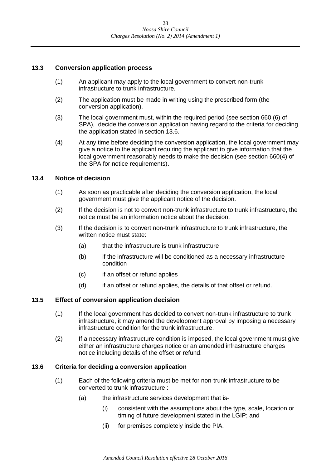#### <span id="page-27-0"></span>**13.3 Conversion application process**

- (1) An applicant may apply to the local government to convert non-trunk infrastructure to trunk infrastructure.
- (2) The application must be made in writing using the prescribed form (the conversion application).
- (3) The local government must, within the required period (see section 660 (6) of SPA), decide the conversion application having regard to the criteria for deciding the application stated in section 13.6.
- (4) At any time before deciding the conversion application, the local government may give a notice to the applicant requiring the applicant to give information that the local government reasonably needs to make the decision (see section 660(4) of the SPA for notice requirements).

#### <span id="page-27-1"></span>**13.4 Notice of decision**

- (1) As soon as practicable after deciding the conversion application, the local government must give the applicant notice of the decision.
- (2) If the decision is not to convert non-trunk infrastructure to trunk infrastructure, the notice must be an information notice about the decision.
- (3) If the decision is to convert non-trunk infrastructure to trunk infrastructure, the written notice must state:
	- (a) that the infrastructure is trunk infrastructure
	- (b) if the infrastructure will be conditioned as a necessary infrastructure condition
	- (c) if an offset or refund applies
	- (d) if an offset or refund applies, the details of that offset or refund.

#### <span id="page-27-2"></span>**13.5 Effect of conversion application decision**

- (1) If the local government has decided to convert non-trunk infrastructure to trunk infrastructure, it may amend the development approval by imposing a necessary infrastructure condition for the trunk infrastructure.
- (2) If a necessary infrastructure condition is imposed, the local government must give either an infrastructure charges notice or an amended infrastructure charges notice including details of the offset or refund.

#### <span id="page-27-3"></span>**13.6 Criteria for deciding a conversion application**

- (1) Each of the following criteria must be met for non-trunk infrastructure to be converted to trunk infrastructure :
	- (a) the infrastructure services development that is-
		- (i) consistent with the assumptions about the type, scale, location or timing of future development stated in the LGIP; and
		- (ii) for premises completely inside the PIA.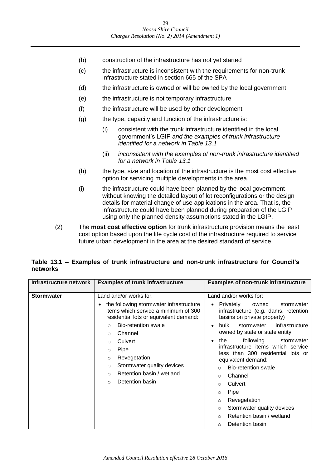- (b) construction of the infrastructure has not yet started
- (c) the infrastructure is inconsistent with the requirements for non-trunk infrastructure stated in section 665 of the SPA
- (d) the infrastructure is owned or will be owned by the local government
- (e) the infrastructure is not temporary infrastructure
- (f) the infrastructure will be used by other development
- (g) the type, capacity and function of the infrastructure is:
	- (i) consistent with the trunk infrastructure identified in the local government's LGIP *and the examples of trunk infrastructure identified for a network in Table 13.1*
	- (ii) *inconsistent with the examples of non-trunk infrastructure identified for a network in Table 13.1*
- (h) the type, size and location of the infrastructure is the most cost effective option for servicing multiple developments in the area.
- (i) the infrastructure could have been planned by the local government without knowing the detailed layout of lot reconfigurations or the design details for material change of use applications in the area. That is, the infrastructure could have been planned during preparation of the LGIP using only the planned density assumptions stated in the LGIP.
- (2) The **most cost effective option** for trunk infrastructure provision means the least cost option based upon the life cycle cost of the infrastructure required to service future urban development in the area at the desired standard of service.

#### **Table 13.1 – Examples of trunk infrastructure and non-trunk infrastructure for Council's networks**

| Infrastructure network | <b>Examples of trunk infrastructure</b>                                                                                   | <b>Examples of non-trunk infrastructure</b>                                                                          |
|------------------------|---------------------------------------------------------------------------------------------------------------------------|----------------------------------------------------------------------------------------------------------------------|
|                        |                                                                                                                           |                                                                                                                      |
| <b>Stormwater</b>      | Land and/or works for:                                                                                                    | Land and/or works for:                                                                                               |
|                        | the following stormwater infrastructure<br>items which service a minimum of 300<br>residential lots or equivalent demand: | Privately<br>owned<br>stormwater<br>$\bullet$<br>infrastructure (e.g. dams, retention<br>basins on private property) |
|                        | Bio-retention swale<br>$\bigcirc$                                                                                         | bulk<br>stormwater<br>infrastructure<br>$\bullet$                                                                    |
|                        | Channel<br>$\circ$                                                                                                        | owned by state or state entity                                                                                       |
|                        | Culvert<br>$\circ$                                                                                                        | following<br>the<br>stormwater<br>$\bullet$                                                                          |
|                        | Pipe<br>O                                                                                                                 | infrastructure items which service                                                                                   |
|                        | Revegetation<br>$\circ$                                                                                                   | less than 300 residential<br>lots or<br>equivalent demand:                                                           |
|                        | Stormwater quality devices<br>O                                                                                           | Bio-retention swale<br>$\Omega$                                                                                      |
|                        | Retention basin / wetland<br>$\circ$                                                                                      | Channel<br>$\Omega$                                                                                                  |
|                        | Detention basin<br>O                                                                                                      | Culvert<br>$\Omega$                                                                                                  |
|                        |                                                                                                                           | Pipe<br>$\circ$                                                                                                      |
|                        |                                                                                                                           | Revegetation<br>$\circ$                                                                                              |
|                        |                                                                                                                           | Stormwater quality devices<br>$\circ$                                                                                |
|                        |                                                                                                                           | Retention basin / wetland<br>$\Omega$                                                                                |
|                        |                                                                                                                           | Detention basin<br>$\Omega$                                                                                          |